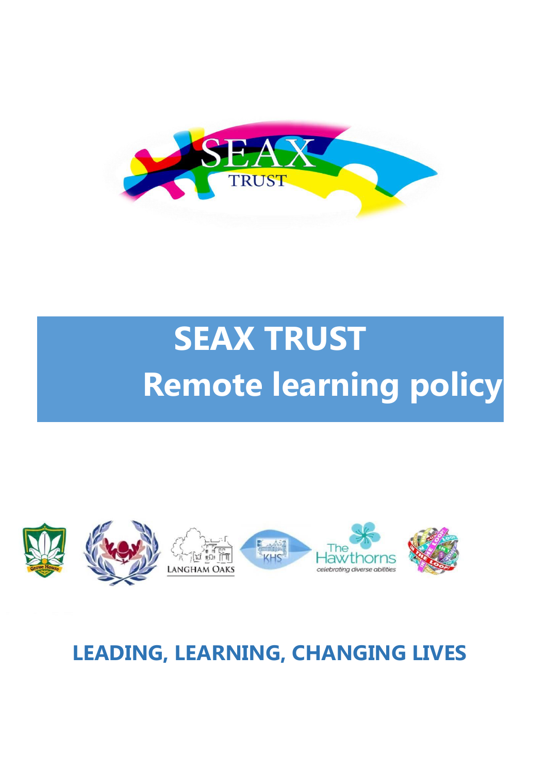

# **SEAX TRUST Remote learning policy**



## **LEADING, LEARNING, CHANGING LIVES**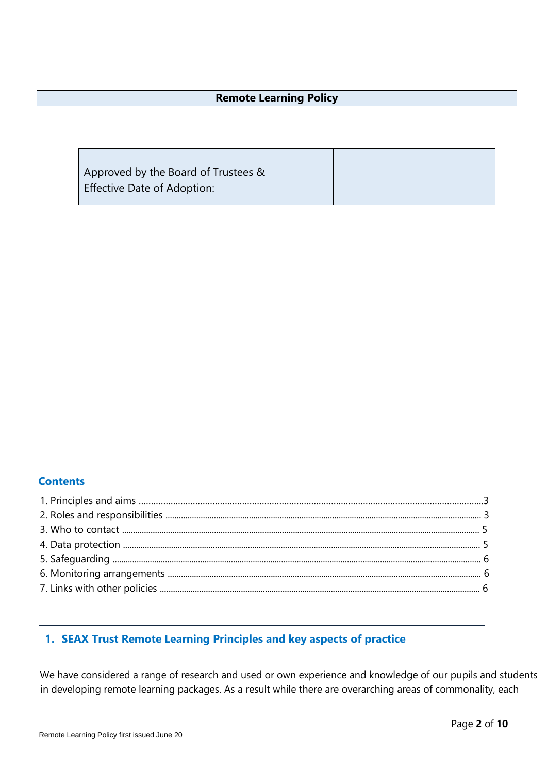#### **Remote Learning Policy**

Approved by the Board of Trustees & Effective Date of Adoption:

#### **Contents**

#### **1. SEAX Trust Remote Learning Principles and key aspects of practice**

We have considered a range of research and used or own experience and knowledge of our pupils and students in developing remote learning packages. As a result while there are overarching areas of commonality, each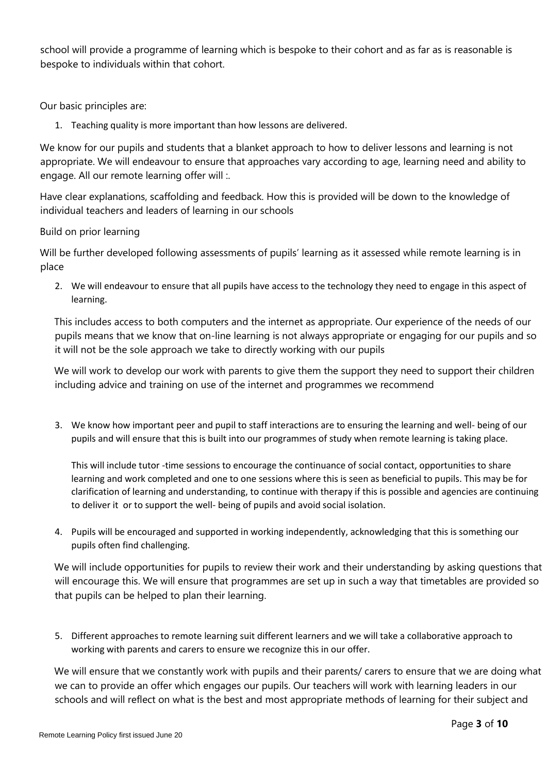school will provide a programme of learning which is bespoke to their cohort and as far as is reasonable is bespoke to individuals within that cohort.

Our basic principles are:

1. Teaching quality is more important than how lessons are delivered.

We know for our pupils and students that a blanket approach to how to deliver lessons and learning is not appropriate. We will endeavour to ensure that approaches vary according to age, learning need and ability to engage. All our remote learning offer will :.

Have clear explanations, scaffolding and feedback. How this is provided will be down to the knowledge of individual teachers and leaders of learning in our schools

#### Build on prior learning

Will be further developed following assessments of pupils' learning as it assessed while remote learning is in place

2. We will endeavour to ensure that all pupils have access to the technology they need to engage in this aspect of learning.

This includes access to both computers and the internet as appropriate. Our experience of the needs of our pupils means that we know that on-line learning is not always appropriate or engaging for our pupils and so it will not be the sole approach we take to directly working with our pupils

We will work to develop our work with parents to give them the support they need to support their children including advice and training on use of the internet and programmes we recommend

3. We know how important peer and pupil to staff interactions are to ensuring the learning and well- being of our pupils and will ensure that this is built into our programmes of study when remote learning is taking place.

This will include tutor -time sessions to encourage the continuance of social contact, opportunities to share learning and work completed and one to one sessions where this is seen as beneficial to pupils. This may be for clarification of learning and understanding, to continue with therapy if this is possible and agencies are continuing to deliver it or to support the well- being of pupils and avoid social isolation.

4. Pupils will be encouraged and supported in working independently, acknowledging that this is something our pupils often find challenging.

We will include opportunities for pupils to review their work and their understanding by asking questions that will encourage this. We will ensure that programmes are set up in such a way that timetables are provided so that pupils can be helped to plan their learning.

5. Different approaches to remote learning suit different learners and we will take a collaborative approach to working with parents and carers to ensure we recognize this in our offer.

We will ensure that we constantly work with pupils and their parents/ carers to ensure that we are doing what we can to provide an offer which engages our pupils. Our teachers will work with learning leaders in our schools and will reflect on what is the best and most appropriate methods of learning for their subject and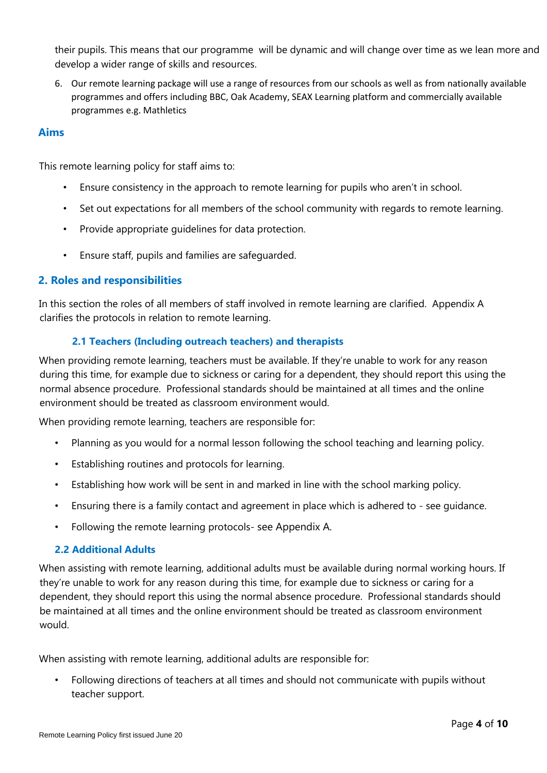their pupils. This means that our programme will be dynamic and will change over time as we lean more and develop a wider range of skills and resources.

6. Our remote learning package will use a range of resources from our schools as well as from nationally available programmes and offers including BBC, Oak Academy, SEAX Learning platform and commercially available programmes e.g. Mathletics

#### **Aims**

This remote learning policy for staff aims to:

- Ensure consistency in the approach to remote learning for pupils who aren't in school.
- Set out expectations for all members of the school community with regards to remote learning.
- Provide appropriate guidelines for data protection.
- Ensure staff, pupils and families are safeguarded.

#### **2. Roles and responsibilities**

In this section the roles of all members of staff involved in remote learning are clarified. Appendix A clarifies the protocols in relation to remote learning.

#### **2.1 Teachers (Including outreach teachers) and therapists**

When providing remote learning, teachers must be available. If they're unable to work for any reason during this time, for example due to sickness or caring for a dependent, they should report this using the normal absence procedure. Professional standards should be maintained at all times and the online environment should be treated as classroom environment would.

When providing remote learning, teachers are responsible for:

- Planning as you would for a normal lesson following the school teaching and learning policy.
- Establishing routines and protocols for learning.
- Establishing how work will be sent in and marked in line with the school marking policy.
- Ensuring there is a family contact and agreement in place which is adhered to see guidance.
- Following the remote learning protocols- see Appendix A.

#### **2.2 Additional Adults**

When assisting with remote learning, additional adults must be available during normal working hours. If they're unable to work for any reason during this time, for example due to sickness or caring for a dependent, they should report this using the normal absence procedure. Professional standards should be maintained at all times and the online environment should be treated as classroom environment would.

When assisting with remote learning, additional adults are responsible for:

• Following directions of teachers at all times and should not communicate with pupils without teacher support.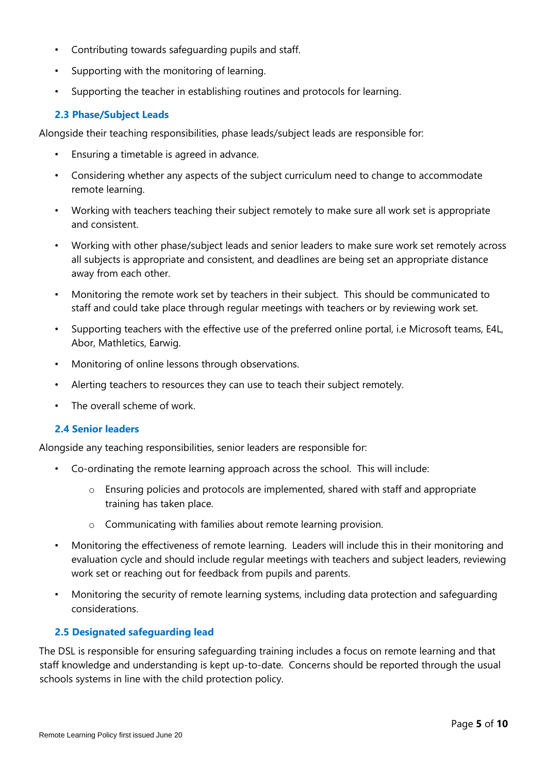- Contributing towards safeguarding pupils and staff.
- Supporting with the monitoring of learning.
- Supporting the teacher in establishing routines and protocols for learning.

#### **2.3 Phase/Subject Leads**

Alongside their teaching responsibilities, phase leads/subject leads are responsible for:

- Ensuring a timetable is agreed in advance.
- Considering whether any aspects of the subject curriculum need to change to accommodate remote learning.
- Working with teachers teaching their subject remotely to make sure all work set is appropriate and consistent.
- Working with other phase/subject leads and senior leaders to make sure work set remotely across all subjects is appropriate and consistent, and deadlines are being set an appropriate distance away from each other.
- Monitoring the remote work set by teachers in their subject. This should be communicated to staff and could take place through regular meetings with teachers or by reviewing work set.
- Supporting teachers with the effective use of the preferred online portal, i.e Microsoft teams, E4L, Abor, Mathletics, Earwig.
- Monitoring of online lessons through observations.
- Alerting teachers to resources they can use to teach their subject remotely.
- The overall scheme of work.

#### **2.4 Senior leaders**

Alongside any teaching responsibilities, senior leaders are responsible for:

- Co-ordinating the remote learning approach across the school. This will include:
	- o Ensuring policies and protocols are implemented, shared with staff and appropriate training has taken place.
	- o Communicating with families about remote learning provision.
- Monitoring the effectiveness of remote learning. Leaders will include this in their monitoring and evaluation cycle and should include regular meetings with teachers and subject leaders, reviewing work set or reaching out for feedback from pupils and parents.
- Monitoring the security of remote learning systems, including data protection and safeguarding considerations.

#### **2.5 Designated safeguarding lead**

The DSL is responsible for ensuring safeguarding training includes a focus on remote learning and that staff knowledge and understanding is kept up-to-date. Concerns should be reported through the usual schools systems in line with the child protection policy.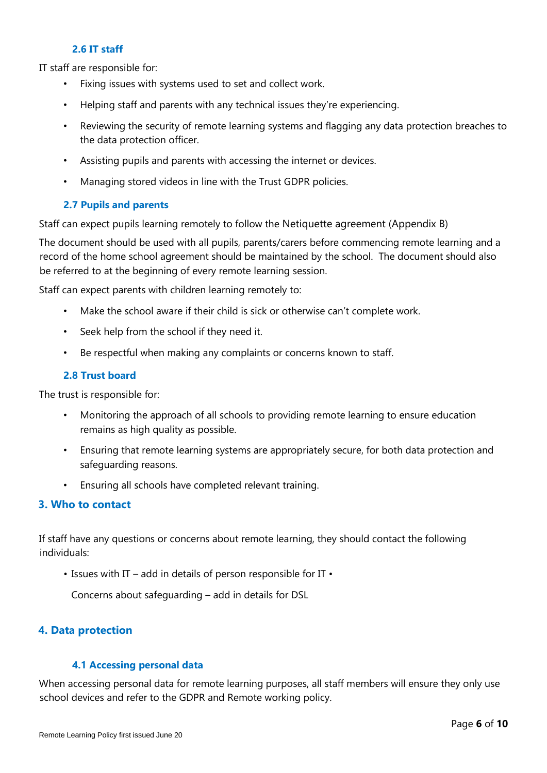#### **2.6 IT staff**

IT staff are responsible for:

- Fixing issues with systems used to set and collect work.
- Helping staff and parents with any technical issues they're experiencing.
- Reviewing the security of remote learning systems and flagging any data protection breaches to the data protection officer.
- Assisting pupils and parents with accessing the internet or devices.
- Managing stored videos in line with the Trust GDPR policies.

#### **2.7 Pupils and parents**

Staff can expect pupils learning remotely to follow the Netiquette agreement (Appendix B)

The document should be used with all pupils, parents/carers before commencing remote learning and a record of the home school agreement should be maintained by the school. The document should also be referred to at the beginning of every remote learning session.

Staff can expect parents with children learning remotely to:

- Make the school aware if their child is sick or otherwise can't complete work.
- Seek help from the school if they need it.
- Be respectful when making any complaints or concerns known to staff.

#### **2.8 Trust board**

The trust is responsible for:

- Monitoring the approach of all schools to providing remote learning to ensure education remains as high quality as possible.
- Ensuring that remote learning systems are appropriately secure, for both data protection and safeguarding reasons.
- Ensuring all schools have completed relevant training.

#### **3. Who to contact**

If staff have any questions or concerns about remote learning, they should contact the following individuals:

• Issues with IT – add in details of person responsible for IT •

Concerns about safeguarding – add in details for DSL

#### **4. Data protection**

#### **4.1 Accessing personal data**

When accessing personal data for remote learning purposes, all staff members will ensure they only use school devices and refer to the GDPR and Remote working policy.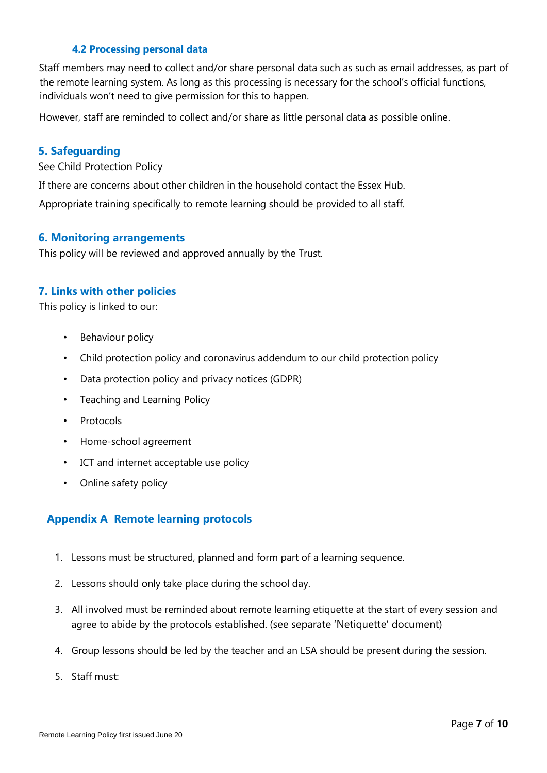#### **4.2 Processing personal data**

Staff members may need to collect and/or share personal data such as such as email addresses, as part of the remote learning system. As long as this processing is necessary for the school's official functions, individuals won't need to give permission for this to happen.

However, staff are reminded to collect and/or share as little personal data as possible online.

#### **5. Safeguarding**

See Child Protection Policy

If there are concerns about other children in the household contact the Essex Hub.

Appropriate training specifically to remote learning should be provided to all staff.

#### **6. Monitoring arrangements**

This policy will be reviewed and approved annually by the Trust.

#### **7. Links with other policies**

This policy is linked to our:

- Behaviour policy
- Child protection policy and coronavirus addendum to our child protection policy
- Data protection policy and privacy notices (GDPR)
- Teaching and Learning Policy
- Protocols
- Home-school agreement
- ICT and internet acceptable use policy
- Online safety policy

#### **Appendix A Remote learning protocols**

- 1. Lessons must be structured, planned and form part of a learning sequence.
- 2. Lessons should only take place during the school day.
- 3. All involved must be reminded about remote learning etiquette at the start of every session and agree to abide by the protocols established. (see separate 'Netiquette' document)
- 4. Group lessons should be led by the teacher and an LSA should be present during the session.
- 5. Staff must: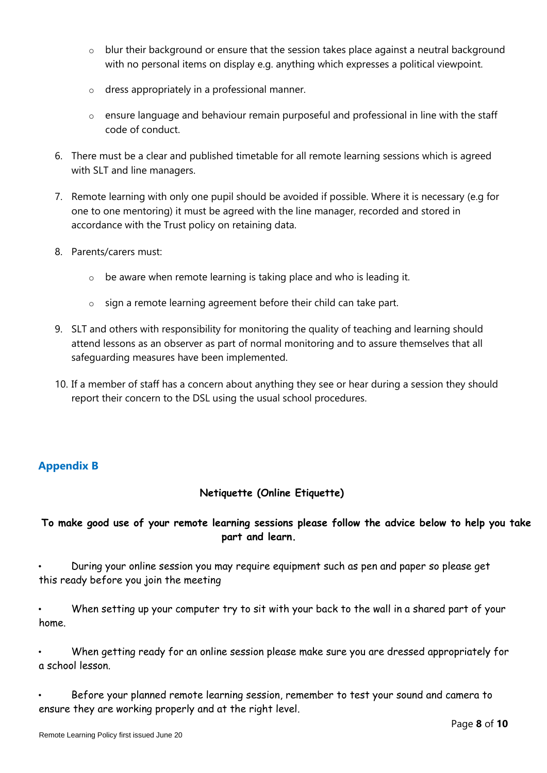- o blur their background or ensure that the session takes place against a neutral background with no personal items on display e.g. anything which expresses a political viewpoint.
- o dress appropriately in a professional manner.
- o ensure language and behaviour remain purposeful and professional in line with the staff code of conduct.
- 6. There must be a clear and published timetable for all remote learning sessions which is agreed with SLT and line managers.
- 7. Remote learning with only one pupil should be avoided if possible. Where it is necessary (e.g for one to one mentoring) it must be agreed with the line manager, recorded and stored in accordance with the Trust policy on retaining data.
- 8. Parents/carers must:
	- $\circ$  be aware when remote learning is taking place and who is leading it.
	- o sign a remote learning agreement before their child can take part.
- 9. SLT and others with responsibility for monitoring the quality of teaching and learning should attend lessons as an observer as part of normal monitoring and to assure themselves that all safeguarding measures have been implemented.
- 10. If a member of staff has a concern about anything they see or hear during a session they should report their concern to the DSL using the usual school procedures.

#### **Appendix B**

#### **Netiquette (Online Etiquette)**

#### **To make good use of your remote learning sessions please follow the advice below to help you take part and learn.**

• During your online session you may require equipment such as pen and paper so please get this ready before you join the meeting

• When setting up your computer try to sit with your back to the wall in a shared part of your home.

• When getting ready for an online session please make sure you are dressed appropriately for a school lesson.

• Before your planned remote learning session, remember to test your sound and camera to ensure they are working properly and at the right level.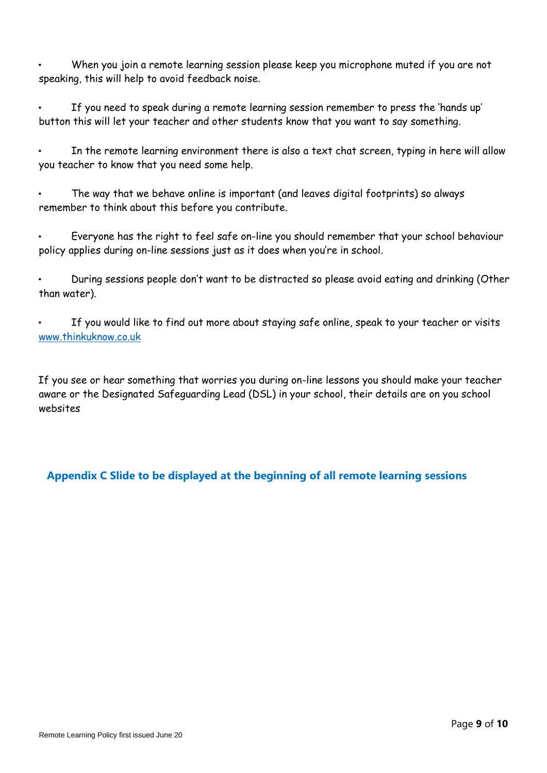• When you join a remote learning session please keep you microphone muted if you are not speaking, this will help to avoid feedback noise.

• If you need to speak during a remote learning session remember to press the 'hands up' button this will let your teacher and other students know that you want to say something.

In the remote learning environment there is also a text chat screen, typing in here will allow you teacher to know that you need some help.

• The way that we behave online is important (and leaves digital footprints) so always remember to think about this before you contribute.

• Everyone has the right to feel safe on-line you should remember that your school behaviour policy applies during on-line sessions just as it does when you're in school.

• During sessions people don't want to be distracted so please avoid eating and drinking (Other than water).

If you would like to find out more about [s](http://www.thinkuknow.co.uk/)taying safe online, speak to your teacher or visits [www.thinkuknow.co.uk](http://www.thinkuknow.co.uk/)

If you see or hear something that worries you during on-line lessons you should make your teacher aware or the Designated Safeguarding Lead (DSL) in your school, their details are on you school websites

#### **Appendix C Slide to be displayed at the beginning of all remote learning sessions**